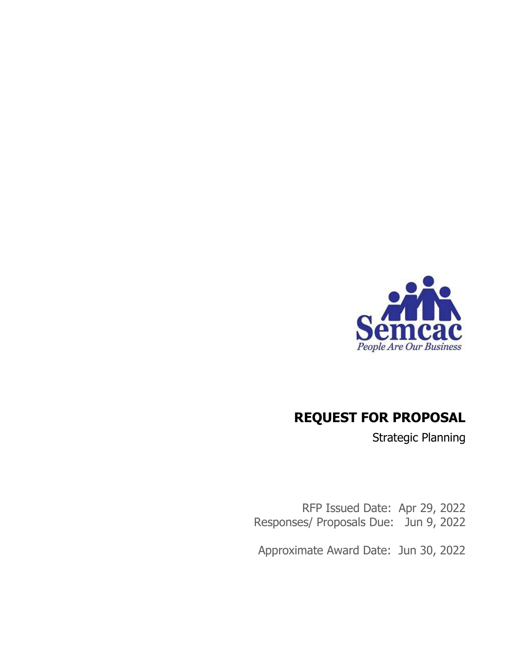

# **REQUEST FOR PROPOSAL**

Strategic Planning

RFP Issued Date: Apr 29, 2022 Responses/ Proposals Due: Jun 9, 2022

Approximate Award Date: Jun 30, 2022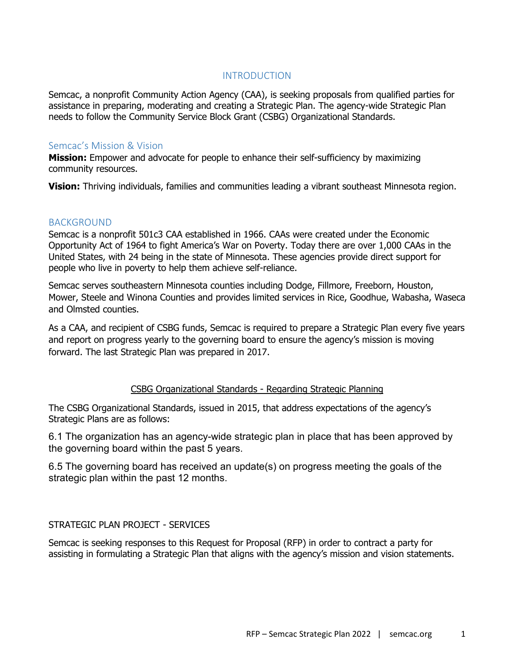# INTRODUCTION

Semcac, a nonprofit Community Action Agency (CAA), is seeking proposals from qualified parties for assistance in preparing, moderating and creating a Strategic Plan. The agency-wide Strategic Plan needs to follow the Community Service Block Grant (CSBG) Organizational Standards.

## Semcac's Mission & Vision

**Mission:** Empower and advocate for people to enhance their self-sufficiency by maximizing community resources.

**Vision:** Thriving individuals, families and communities leading a vibrant southeast Minnesota region.

# BACKGROUND

Semcac is a nonprofit 501c3 CAA established in 1966. CAAs were created under the Economic Opportunity Act of 1964 to fight America's War on Poverty. Today there are over 1,000 CAAs in the United States, with 24 being in the state of Minnesota. These agencies provide direct support for people who live in poverty to help them achieve self-reliance.

Semcac serves southeastern Minnesota counties including Dodge, Fillmore, Freeborn, Houston, Mower, Steele and Winona Counties and provides limited services in Rice, Goodhue, Wabasha, Waseca and Olmsted counties.

As a CAA, and recipient of CSBG funds, Semcac is required to prepare a Strategic Plan every five years and report on progress yearly to the governing board to ensure the agency's mission is moving forward. The last Strategic Plan was prepared in 2017.

## CSBG Organizational Standards - Regarding Strategic Planning

The CSBG Organizational Standards, issued in 2015, that address expectations of the agency's Strategic Plans are as follows:

6.1 The organization has an agency-wide strategic plan in place that has been approved by the governing board within the past 5 years.

6.5 The governing board has received an update(s) on progress meeting the goals of the strategic plan within the past 12 months.

## STRATEGIC PLAN PROJECT - SERVICES

Semcac is seeking responses to this Request for Proposal (RFP) in order to contract a party for assisting in formulating a Strategic Plan that aligns with the agency's mission and vision statements.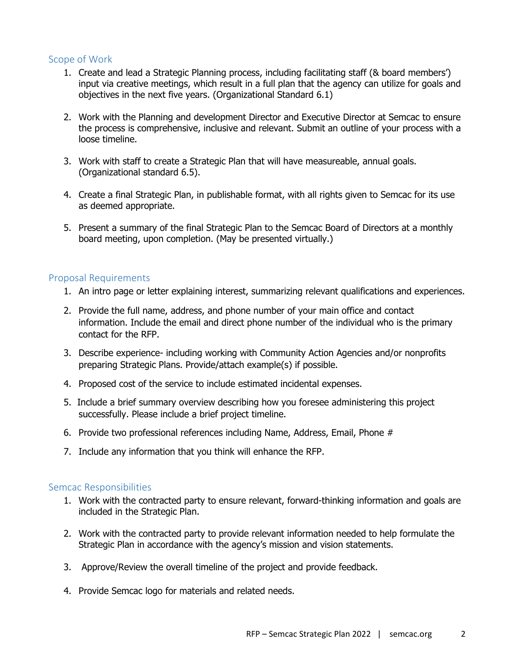# Scope of Work

- 1. Create and lead a Strategic Planning process, including facilitating staff (& board members') input via creative meetings, which result in a full plan that the agency can utilize for goals and objectives in the next five years. (Organizational Standard 6.1)
- 2. Work with the Planning and development Director and Executive Director at Semcac to ensure the process is comprehensive, inclusive and relevant. Submit an outline of your process with a loose timeline.
- 3. Work with staff to create a Strategic Plan that will have measureable, annual goals. (Organizational standard 6.5).
- 4. Create a final Strategic Plan, in publishable format, with all rights given to Semcac for its use as deemed appropriate.
- 5. Present a summary of the final Strategic Plan to the Semcac Board of Directors at a monthly board meeting, upon completion. (May be presented virtually.)

# Proposal Requirements

- 1. An intro page or letter explaining interest, summarizing relevant qualifications and experiences.
- 2. Provide the full name, address, and phone number of your main office and contact information. Include the email and direct phone number of the individual who is the primary contact for the RFP.
- 3. Describe experience- including working with Community Action Agencies and/or nonprofits preparing Strategic Plans. Provide/attach example(s) if possible.
- 4. Proposed cost of the service to include estimated incidental expenses.
- 5. Include a brief summary overview describing how you foresee administering this project successfully. Please include a brief project timeline.
- 6. Provide two professional references including Name, Address, Email, Phone #
- 7. Include any information that you think will enhance the RFP.

## Semcac Responsibilities

- 1. Work with the contracted party to ensure relevant, forward-thinking information and goals are included in the Strategic Plan.
- 2. Work with the contracted party to provide relevant information needed to help formulate the Strategic Plan in accordance with the agency's mission and vision statements.
- 3. Approve/Review the overall timeline of the project and provide feedback.
- 4. Provide Semcac logo for materials and related needs.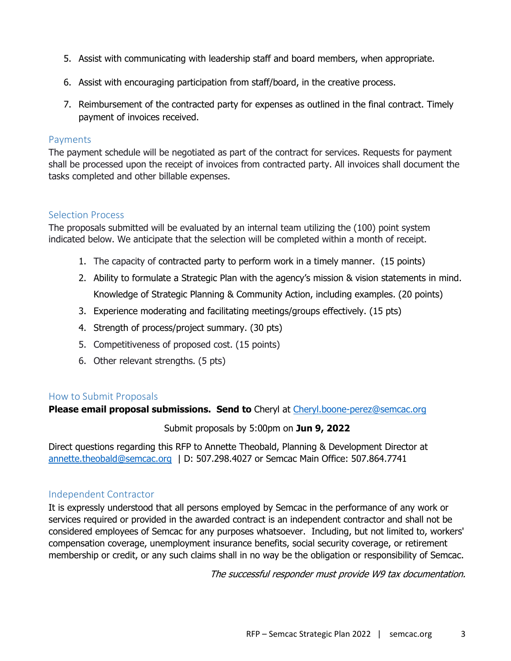- 5. Assist with communicating with leadership staff and board members, when appropriate.
- 6. Assist with encouraging participation from staff/board, in the creative process.
- 7. Reimbursement of the contracted party for expenses as outlined in the final contract. Timely payment of invoices received.

#### Payments

The payment schedule will be negotiated as part of the contract for services. Requests for payment shall be processed upon the receipt of invoices from contracted party. All invoices shall document the tasks completed and other billable expenses.

## Selection Process

The proposals submitted will be evaluated by an internal team utilizing the (100) point system indicated below. We anticipate that the selection will be completed within a month of receipt.

- 1. The capacity of contracted party to perform work in a timely manner. (15 points)
- 2. Ability to formulate a Strategic Plan with the agency's mission & vision statements in mind. Knowledge of Strategic Planning & Community Action, including examples. (20 points)
- 3. Experience moderating and facilitating meetings/groups effectively. (15 pts)
- 4. Strength of process/project summary. (30 pts)
- 5. Competitiveness of proposed cost. (15 points)
- 6. Other relevant strengths. (5 pts)

## How to Submit Proposals

**Please email proposal submissions. Send to** Cheryl at [Cheryl.boone-perez@semcac.org](mailto:Cheryl.boone-perez@semcac.org)

Submit proposals by 5:00pm on **Jun 9, 2022**

Direct questions regarding this RFP to Annette Theobald, Planning & Development Director at [annette.theobald@semcac.org](mailto:annette.theobald@semcac.org) | D: 507.298.4027 or Semcac Main Office: 507.864.7741

## Independent Contractor

It is expressly understood that all persons employed by Semcac in the performance of any work or services required or provided in the awarded contract is an independent contractor and shall not be considered employees of Semcac for any purposes whatsoever. Including, but not limited to, workers' compensation coverage, unemployment insurance benefits, social security coverage, or retirement membership or credit, or any such claims shall in no way be the obligation or responsibility of Semcac.

The successful responder must provide W9 tax documentation.